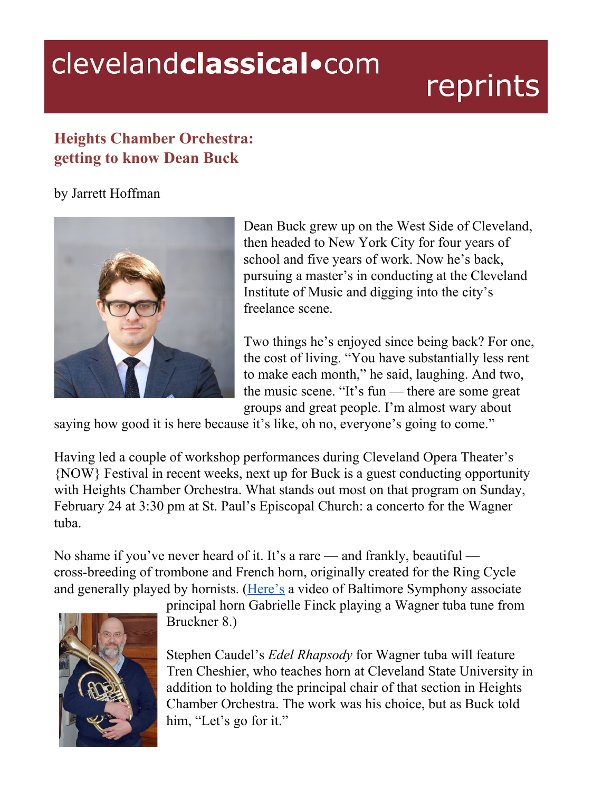## clevelandclassical.com

## reprints

## **Heights Chamber Orchestra: getting to know Dean Buck**

by Jarrett Hoffman



Dean Buck grew up on the West Side of Cleveland, then headed to New York City for four years of school and five years of work. Now he's back, pursuing a master's in conducting at the Cleveland Institute of Music and digging into the city's freelance scene.

Two things he's enjoyed since being back? For one, the cost of living. "You have substantially less rent to make each month," he said, laughing. And two, the music scene. "It's fun — there are some great groups and great people. I'm almost wary about

saying how good it is here because it's like, oh no, everyone's going to come."

Having led a couple of workshop performances during Cleveland Opera Theater's {NOW} Festival in recent weeks, next up for Buck is a guest conducting opportunity with Heights Chamber Orchestra. What stands out most on that program on Sunday, February 24 at 3:30 pm at St. Paul's Episcopal Church: a concerto for the Wagner tuba.

No shame if you've never heard of it. It's a rare — and frankly, beautiful cross-breeding of trombone and French horn, originally created for the Ring Cycle and generally played by hornists. ([Here's](https://youtu.be/Wgfqe4XHA78?t=89) a video of Baltimore Symphony associate



principal horn Gabrielle Finck playing a Wagner tuba tune from Bruckner 8.)

Stephen Caudel's *Edel Rhapsody* for Wagner tuba will feature Tren Cheshier, who teaches horn at Cleveland State University in addition to holding the principal chair of that section in Heights Chamber Orchestra. The work was his choice, but as Buck told him, "Let's go for it."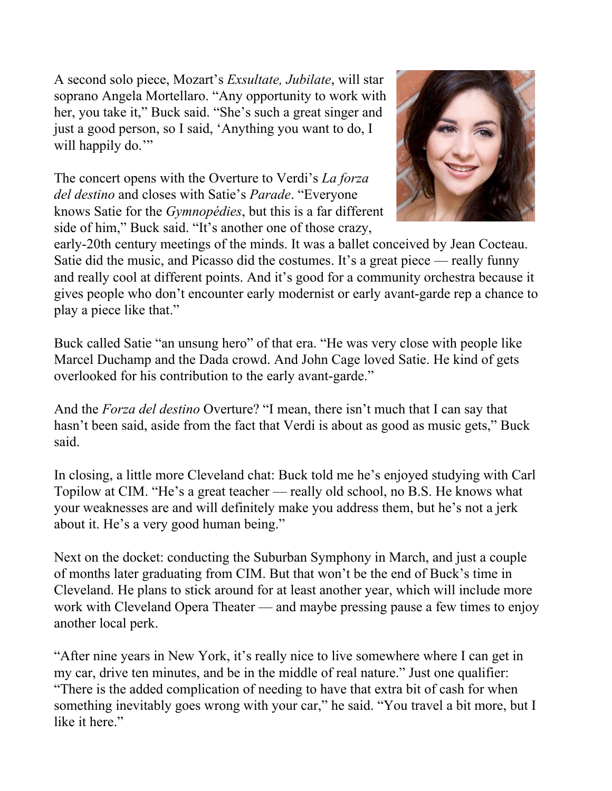A second solo piece, Mozart's *Exsultate, Jubilate*, will star soprano Angela Mortellaro. "Any opportunity to work with her, you take it," Buck said. "She's such a great singer and just a good person, so I said, 'Anything you want to do, I will happily do."

The concert opens with the Overture to Verdi's *La forza del destino* and closes with Satie's *Parade*. "Everyone knows Satie for the *Gymnopédies*, but this is a far different side of him," Buck said. "It's another one of those crazy,



early-20th century meetings of the minds. It was a ballet conceived by Jean Cocteau. Satie did the music, and Picasso did the costumes. It's a great piece — really funny and really cool at different points. And it's good for a community orchestra because it gives people who don't encounter early modernist or early avant-garde rep a chance to play a piece like that."

Buck called Satie "an unsung hero" of that era. "He was very close with people like Marcel Duchamp and the Dada crowd. And John Cage loved Satie. He kind of gets overlooked for his contribution to the early avant-garde."

And the *Forza del destino* Overture? "I mean, there isn't much that I can say that hasn't been said, aside from the fact that Verdi is about as good as music gets," Buck said.

In closing, a little more Cleveland chat: Buck told me he's enjoyed studying with Carl Topilow at CIM. "He's a great teacher — really old school, no B.S. He knows what your weaknesses are and will definitely make you address them, but he's not a jerk about it. He's a very good human being."

Next on the docket: conducting the Suburban Symphony in March, and just a couple of months later graduating from CIM. But that won't be the end of Buck's time in Cleveland. He plans to stick around for at least another year, which will include more work with Cleveland Opera Theater — and maybe pressing pause a few times to enjoy another local perk.

"After nine years in New York, it's really nice to live somewhere where I can get in my car, drive ten minutes, and be in the middle of real nature." Just one qualifier: "There is the added complication of needing to have that extra bit of cash for when something inevitably goes wrong with your car," he said. "You travel a bit more, but I like it here."